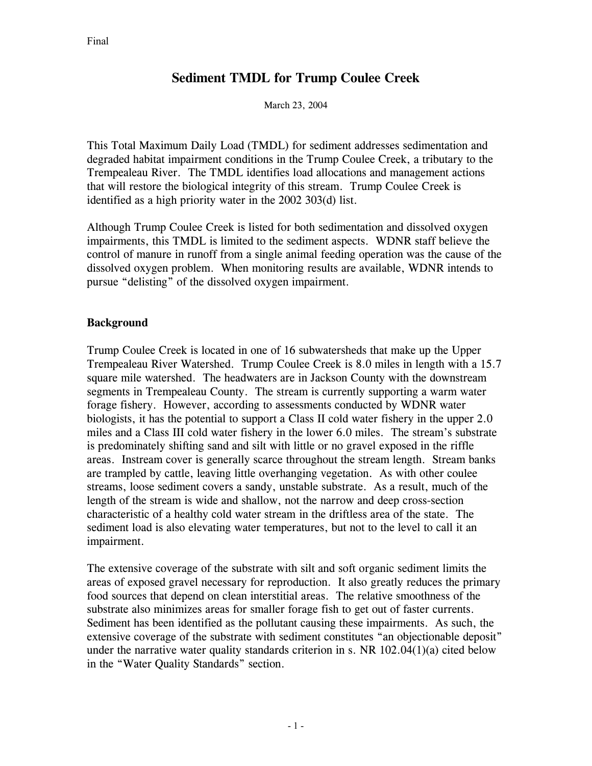# **Sediment TMDL for Trump Coulee Creek**

March 23, 2004

This Total Maximum Daily Load (TMDL) for sediment addresses sedimentation and degraded habitat impairment conditions in the Trump Coulee Creek, a tributary to the Trempealeau River. The TMDL identifies load allocations and management actions that will restore the biological integrity of this stream. Trump Coulee Creek is identified as a high priority water in the 2002 303(d) list.

Although Trump Coulee Creek is listed for both sedimentation and dissolved oxygen impairments, this TMDL is limited to the sediment aspects. WDNR staff believe the control of manure in runoff from a single animal feeding operation was the cause of the dissolved oxygen problem. When monitoring results are available, WDNR intends to pursue "delisting" of the dissolved oxygen impairment.

# **Background**

Trump Coulee Creek is located in one of 16 subwatersheds that make up the Upper Trempealeau River Watershed. Trump Coulee Creek is 8.0 miles in length with a 15.7 square mile watershed. The headwaters are in Jackson County with the downstream segments in Trempealeau County. The stream is currently supporting a warm water forage fishery. However, according to assessments conducted by WDNR water biologists, it has the potential to support a Class II cold water fishery in the upper 2.0 miles and a Class III cold water fishery in the lower 6.0 miles. The stream's substrate is predominately shifting sand and silt with little or no gravel exposed in the riffle areas. Instream cover is generally scarce throughout the stream length. Stream banks are trampled by cattle, leaving little overhanging vegetation. As with other coulee streams, loose sediment covers a sandy, unstable substrate. As a result, much of the length of the stream is wide and shallow, not the narrow and deep cross-section characteristic of a healthy cold water stream in the driftless area of the state. The sediment load is also elevating water temperatures, but not to the level to call it an impairment.

The extensive coverage of the substrate with silt and soft organic sediment limits the areas of exposed gravel necessary for reproduction. It also greatly reduces the primary food sources that depend on clean interstitial areas. The relative smoothness of the substrate also minimizes areas for smaller forage fish to get out of faster currents. Sediment has been identified as the pollutant causing these impairments. As such, the extensive coverage of the substrate with sediment constitutes "an objectionable deposit" under the narrative water quality standards criterion in s. NR  $102.04(1)(a)$  cited below in the "Water Quality Standards" section.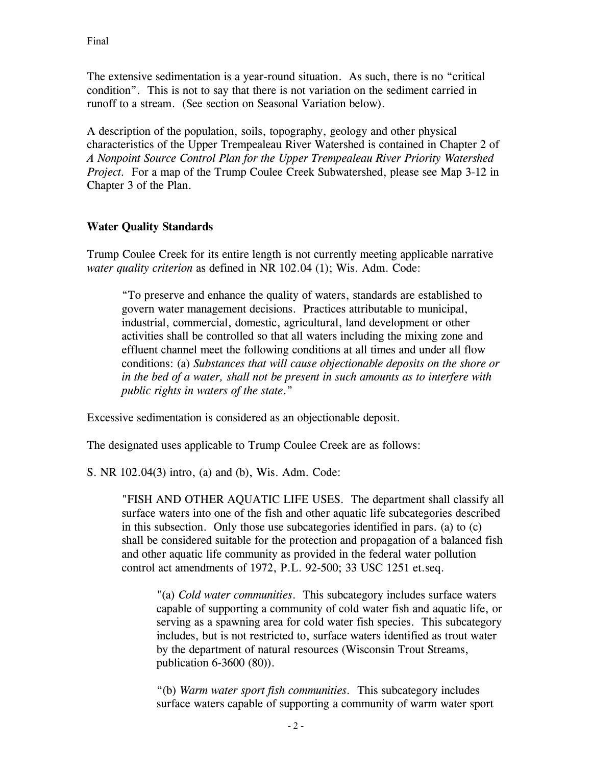The extensive sedimentation is a year-round situation. As such, there is no "critical condition". This is not to say that there is not variation on the sediment carried in runoff to a stream. (See section on Seasonal Variation below).

A description of the population, soils, topography, geology and other physical characteristics of the Upper Trempealeau River Watershed is contained in Chapter 2 of *A Nonpoint Source Control Plan for the Upper Trempealeau River Priority Watershed Project.* For a map of the Trump Coulee Creek Subwatershed, please see Map 3-12 in Chapter 3 of the Plan.

## **Water Quality Standards**

Trump Coulee Creek for its entire length is not currently meeting applicable narrative *water quality criterion* as defined in NR 102.04 (1); Wis. Adm. Code:

"To preserve and enhance the quality of waters, standards are established to govern water management decisions. Practices attributable to municipal, industrial, commercial, domestic, agricultural, land development or other activities shall be controlled so that all waters including the mixing zone and effluent channel meet the following conditions at all times and under all flow conditions: (a) *Substances that will cause objectionable deposits on the shore or in the bed of a water, shall not be present in such amounts as to interfere with public rights in waters of the state*."

Excessive sedimentation is considered as an objectionable deposit.

The designated uses applicable to Trump Coulee Creek are as follows:

S. NR 102.04(3) intro, (a) and (b), Wis. Adm. Code:

"FISH AND OTHER AQUATIC LIFE USES. The department shall classify all surface waters into one of the fish and other aquatic life subcategories described in this subsection. Only those use subcategories identified in pars. (a) to (c) shall be considered suitable for the protection and propagation of a balanced fish and other aquatic life community as provided in the federal water pollution control act amendments of 1972, P.L. 92-500; 33 USC 1251 et.seq.

"(a) *Cold water communities*. This subcategory includes surface waters capable of supporting a community of cold water fish and aquatic life, or serving as a spawning area for cold water fish species. This subcategory includes, but is not restricted to, surface waters identified as trout water by the department of natural resources (Wisconsin Trout Streams, publication 6-3600 (80)).

"(b) *Warm water sport fish communities.* This subcategory includes surface waters capable of supporting a community of warm water sport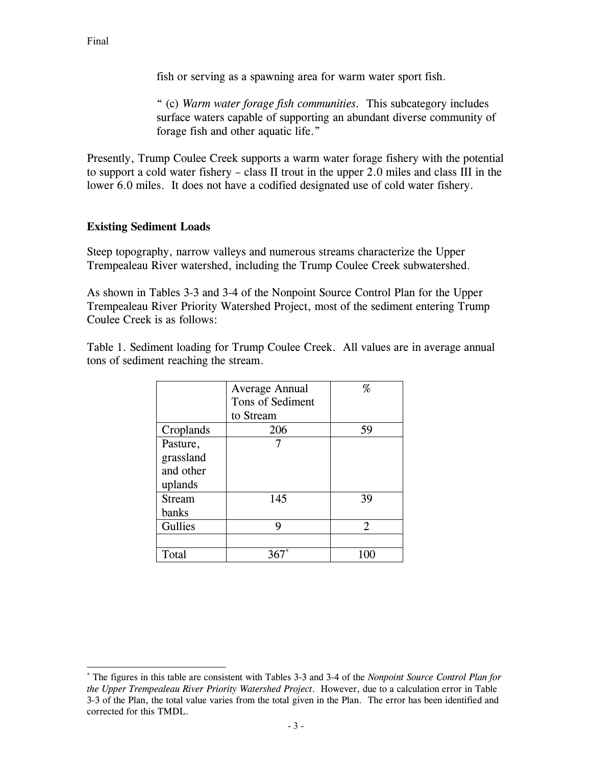fish or serving as a spawning area for warm water sport fish.

" (c) *Warm water forage fish communities.* This subcategory includes surface waters capable of supporting an abundant diverse community of forage fish and other aquatic life."

Presently, Trump Coulee Creek supports a warm water forage fishery with the potential to support a cold water fishery – class II trout in the upper 2.0 miles and class III in the lower 6.0 miles. It does not have a codified designated use of cold water fishery.

#### **Existing Sediment Loads**

Steep topography, narrow valleys and numerous streams characterize the Upper Trempealeau River watershed, including the Trump Coulee Creek subwatershed.

As shown in Tables 3-3 and 3-4 of the Nonpoint Source Control Plan for the Upper Trempealeau River Priority Watershed Project, most of the sediment entering Trump Coulee Creek is as follows:

Table 1. Sediment loading for Trump Coulee Creek. All values are in average annual tons of sediment reaching the stream.

|               | Average Annual<br>Tons of Sediment | %              |
|---------------|------------------------------------|----------------|
|               |                                    |                |
|               | to Stream                          |                |
| Croplands     | 206                                | 59             |
| Pasture,      |                                    |                |
| grassland     |                                    |                |
| and other     |                                    |                |
| uplands       |                                    |                |
| <b>Stream</b> | 145                                | 39             |
| banks         |                                    |                |
| Gullies       | 9                                  | $\mathfrak{D}$ |
|               |                                    |                |
| Total         |                                    |                |

l

<sup>\*</sup> The figures in this table are consistent with Tables 3-3 and 3-4 of the *Nonpoint Source Control Plan for the Upper Trempealeau River Priority Watershed Project*. However, due to a calculation error in Table 3-3 of the Plan, the total value varies from the total given in the Plan. The error has been identified and corrected for this TMDL.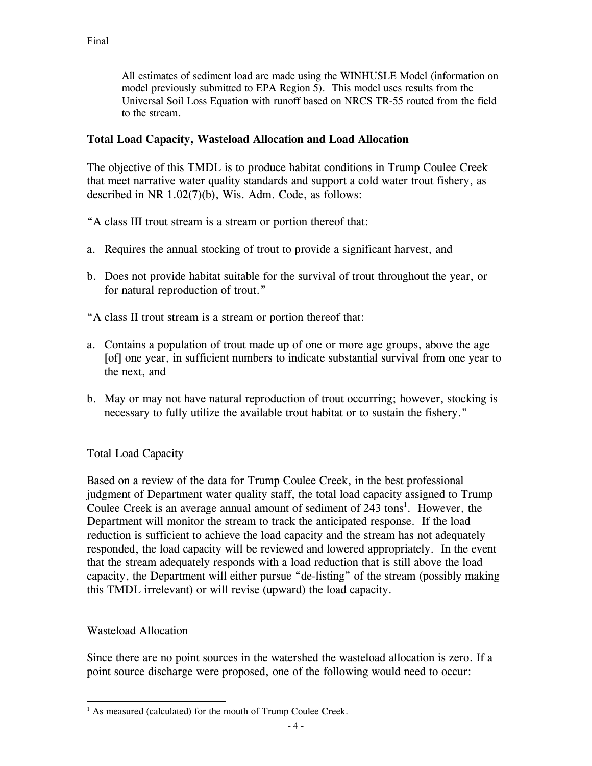All estimates of sediment load are made using the WINHUSLE Model (information on model previously submitted to EPA Region 5). This model uses results from the Universal Soil Loss Equation with runoff based on NRCS TR-55 routed from the field to the stream.

## **Total Load Capacity, Wasteload Allocation and Load Allocation**

The objective of this TMDL is to produce habitat conditions in Trump Coulee Creek that meet narrative water quality standards and support a cold water trout fishery, as described in NR 1.02(7)(b), Wis. Adm. Code, as follows:

- "A class III trout stream is a stream or portion thereof that:
- a. Requires the annual stocking of trout to provide a significant harvest, and
- b. Does not provide habitat suitable for the survival of trout throughout the year, or for natural reproduction of trout."
- "A class II trout stream is a stream or portion thereof that:
- a. Contains a population of trout made up of one or more age groups, above the age [of] one year, in sufficient numbers to indicate substantial survival from one year to the next, and
- b. May or may not have natural reproduction of trout occurring; however, stocking is necessary to fully utilize the available trout habitat or to sustain the fishery."

# Total Load Capacity

Based on a review of the data for Trump Coulee Creek, in the best professional judgment of Department water quality staff, the total load capacity assigned to Trump Coulee Creek is an average annual amount of sediment of  $243 \text{ tons}^1$ . However, the Department will monitor the stream to track the anticipated response. If the load reduction is sufficient to achieve the load capacity and the stream has not adequately responded, the load capacity will be reviewed and lowered appropriately. In the event that the stream adequately responds with a load reduction that is still above the load capacity, the Department will either pursue "de-listing" of the stream (possibly making this TMDL irrelevant) or will revise (upward) the load capacity.

#### Wasteload Allocation

 $\overline{a}$ 

Since there are no point sources in the watershed the wasteload allocation is zero. If a point source discharge were proposed, one of the following would need to occur:

<sup>&</sup>lt;sup>1</sup> As measured (calculated) for the mouth of Trump Coulee Creek.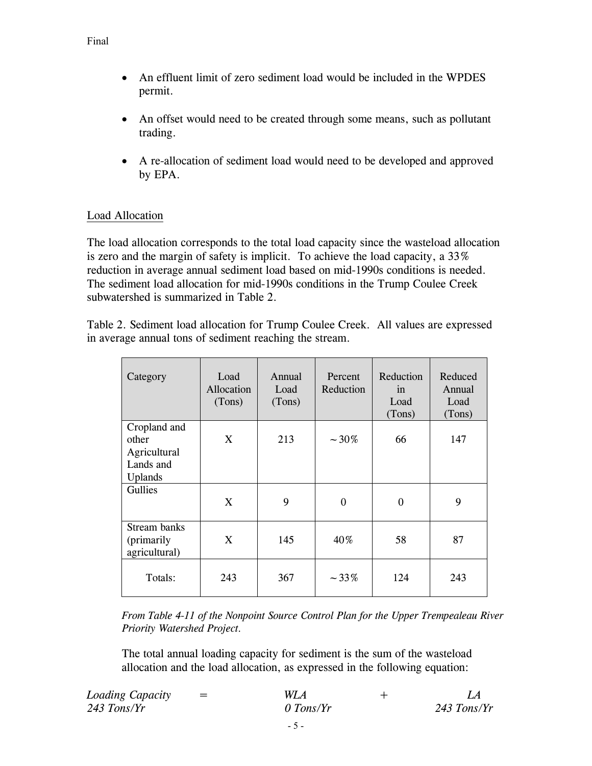- An effluent limit of zero sediment load would be included in the WPDES permit.
- An offset would need to be created through some means, such as pollutant trading.
- A re-allocation of sediment load would need to be developed and approved by EPA.

## Load Allocation

The load allocation corresponds to the total load capacity since the wasteload allocation is zero and the margin of safety is implicit. To achieve the load capacity, a 33% reduction in average annual sediment load based on mid-1990s conditions is needed. The sediment load allocation for mid-1990s conditions in the Trump Coulee Creek subwatershed is summarized in Table 2.

Table 2. Sediment load allocation for Trump Coulee Creek. All values are expressed in average annual tons of sediment reaching the stream.

| Category                                                      | Load<br>Allocation<br>(Tons) | Annual<br>Load<br>(Tons) | Percent<br>Reduction | Reduction<br>in<br>Load<br>(Tons) | Reduced<br>Annual<br>Load<br>(Tons) |
|---------------------------------------------------------------|------------------------------|--------------------------|----------------------|-----------------------------------|-------------------------------------|
| Cropland and<br>other<br>Agricultural<br>Lands and<br>Uplands | X                            | 213                      | $~1.30\%$            | 66                                | 147                                 |
| Gullies                                                       | X                            | 9                        | $\Omega$             | $\Omega$                          | 9                                   |
| Stream banks<br>( <i>primarily</i><br>agricultural)           | X                            | 145                      | 40%                  | 58                                | 87                                  |
| Totals:                                                       | 243                          | 367                      | $-33%$               | 124                               | 243                                 |

*From Table 4-11 of the Nonpoint Source Control Plan for the Upper Trempealeau River Priority Watershed Project.*

The total annual loading capacity for sediment is the sum of the wasteload allocation and the load allocation, as expressed in the following equation:

| Loading Capacity | $=$ | WL A      |               |
|------------------|-----|-----------|---------------|
| $243$ Tons/Yr    |     | 0 Tons/Yr | $243$ Tons/Yr |
|                  |     |           |               |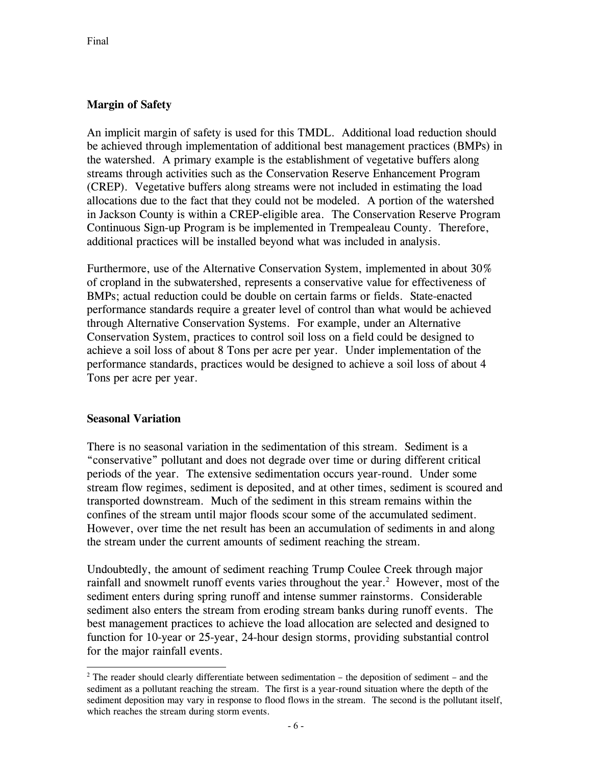# **Margin of Safety**

An implicit margin of safety is used for this TMDL. Additional load reduction should be achieved through implementation of additional best management practices (BMPs) in the watershed. A primary example is the establishment of vegetative buffers along streams through activities such as the Conservation Reserve Enhancement Program (CREP). Vegetative buffers along streams were not included in estimating the load allocations due to the fact that they could not be modeled. A portion of the watershed in Jackson County is within a CREP-eligible area. The Conservation Reserve Program Continuous Sign-up Program is be implemented in Trempealeau County. Therefore, additional practices will be installed beyond what was included in analysis.

Furthermore, use of the Alternative Conservation System, implemented in about 30% of cropland in the subwatershed, represents a conservative value for effectiveness of BMPs; actual reduction could be double on certain farms or fields. State-enacted performance standards require a greater level of control than what would be achieved through Alternative Conservation Systems. For example, under an Alternative Conservation System, practices to control soil loss on a field could be designed to achieve a soil loss of about 8 Tons per acre per year. Under implementation of the performance standards, practices would be designed to achieve a soil loss of about 4 Tons per acre per year.

#### **Seasonal Variation**

l

There is no seasonal variation in the sedimentation of this stream. Sediment is a "conservative" pollutant and does not degrade over time or during different critical periods of the year. The extensive sedimentation occurs year-round. Under some stream flow regimes, sediment is deposited, and at other times, sediment is scoured and transported downstream. Much of the sediment in this stream remains within the confines of the stream until major floods scour some of the accumulated sediment. However, over time the net result has been an accumulation of sediments in and along the stream under the current amounts of sediment reaching the stream.

Undoubtedly, the amount of sediment reaching Trump Coulee Creek through major rainfall and snowmelt runoff events varies throughout the year.<sup>2</sup> However, most of the sediment enters during spring runoff and intense summer rainstorms. Considerable sediment also enters the stream from eroding stream banks during runoff events. The best management practices to achieve the load allocation are selected and designed to function for 10-year or 25-year, 24-hour design storms, providing substantial control for the major rainfall events.

 $2$  The reader should clearly differentiate between sedimentation – the deposition of sediment – and the sediment as a pollutant reaching the stream. The first is a year-round situation where the depth of the sediment deposition may vary in response to flood flows in the stream. The second is the pollutant itself, which reaches the stream during storm events.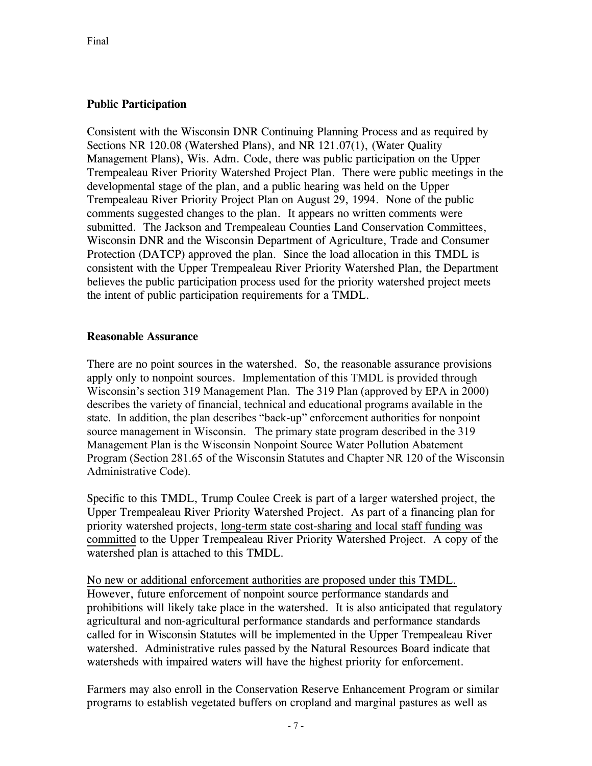## **Public Participation**

Consistent with the Wisconsin DNR Continuing Planning Process and as required by Sections NR 120.08 (Watershed Plans), and NR 121.07(1), (Water Quality Management Plans), Wis. Adm. Code, there was public participation on the Upper Trempealeau River Priority Watershed Project Plan. There were public meetings in the developmental stage of the plan, and a public hearing was held on the Upper Trempealeau River Priority Project Plan on August 29, 1994. None of the public comments suggested changes to the plan. It appears no written comments were submitted. The Jackson and Trempealeau Counties Land Conservation Committees, Wisconsin DNR and the Wisconsin Department of Agriculture, Trade and Consumer Protection (DATCP) approved the plan. Since the load allocation in this TMDL is consistent with the Upper Trempealeau River Priority Watershed Plan, the Department believes the public participation process used for the priority watershed project meets the intent of public participation requirements for a TMDL.

#### **Reasonable Assurance**

There are no point sources in the watershed. So, the reasonable assurance provisions apply only to nonpoint sources. Implementation of this TMDL is provided through Wisconsin's section 319 Management Plan. The 319 Plan (approved by EPA in 2000) describes the variety of financial, technical and educational programs available in the state. In addition, the plan describes "back-up" enforcement authorities for nonpoint source management in Wisconsin. The primary state program described in the 319 Management Plan is the Wisconsin Nonpoint Source Water Pollution Abatement Program (Section 281.65 of the Wisconsin Statutes and Chapter NR 120 of the Wisconsin Administrative Code).

Specific to this TMDL, Trump Coulee Creek is part of a larger watershed project, the Upper Trempealeau River Priority Watershed Project. As part of a financing plan for priority watershed projects, long-term state cost-sharing and local staff funding was committed to the Upper Trempealeau River Priority Watershed Project. A copy of the watershed plan is attached to this TMDL.

No new or additional enforcement authorities are proposed under this TMDL. However, future enforcement of nonpoint source performance standards and prohibitions will likely take place in the watershed. It is also anticipated that regulatory agricultural and non-agricultural performance standards and performance standards called for in Wisconsin Statutes will be implemented in the Upper Trempealeau River watershed. Administrative rules passed by the Natural Resources Board indicate that watersheds with impaired waters will have the highest priority for enforcement.

Farmers may also enroll in the Conservation Reserve Enhancement Program or similar programs to establish vegetated buffers on cropland and marginal pastures as well as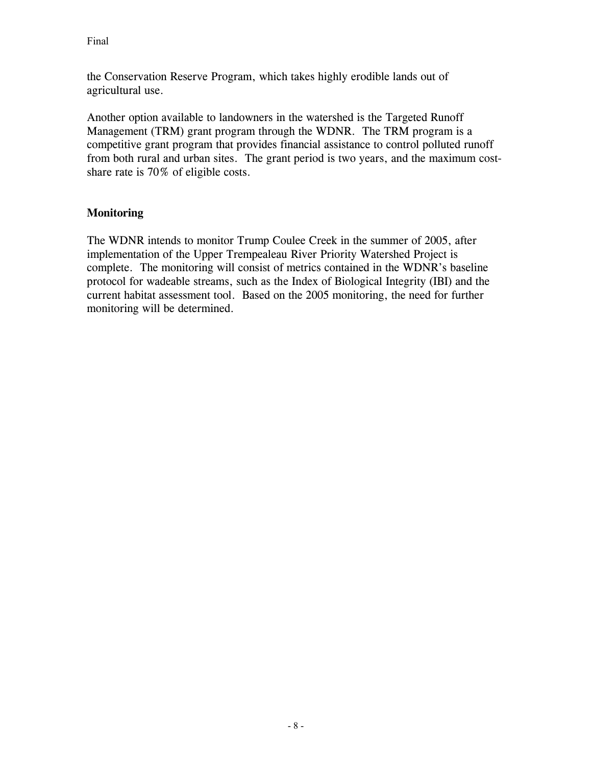the Conservation Reserve Program, which takes highly erodible lands out of agricultural use.

Another option available to landowners in the watershed is the Targeted Runoff Management (TRM) grant program through the WDNR. The TRM program is a competitive grant program that provides financial assistance to control polluted runoff from both rural and urban sites. The grant period is two years, and the maximum costshare rate is 70% of eligible costs.

## **Monitoring**

The WDNR intends to monitor Trump Coulee Creek in the summer of 2005, after implementation of the Upper Trempealeau River Priority Watershed Project is complete. The monitoring will consist of metrics contained in the WDNR's baseline protocol for wadeable streams, such as the Index of Biological Integrity (IBI) and the current habitat assessment tool. Based on the 2005 monitoring, the need for further monitoring will be determined.